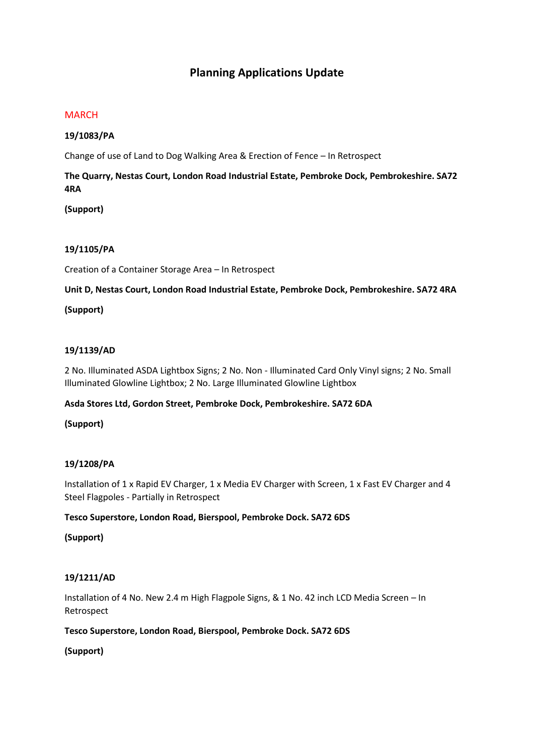# **Planning Applications Update**

#### **MARCH**

#### **19/1083/PA**

Change of use of Land to Dog Walking Area & Erection of Fence – In Retrospect

## **The Quarry, Nestas Court, London Road Industrial Estate, Pembroke Dock, Pembrokeshire. SA72 4RA**

**(Support)**

#### **19/1105/PA**

Creation of a Container Storage Area – In Retrospect

**Unit D, Nestas Court, London Road Industrial Estate, Pembroke Dock, Pembrokeshire. SA72 4RA**

#### **(Support)**

#### **19/1139/AD**

2 No. Illuminated ASDA Lightbox Signs; 2 No. Non - Illuminated Card Only Vinyl signs; 2 No. Small Illuminated Glowline Lightbox; 2 No. Large Illuminated Glowline Lightbox

#### **Asda Stores Ltd, Gordon Street, Pembroke Dock, Pembrokeshire. SA72 6DA**

## **(Support)**

## **19/1208/PA**

Installation of 1 x Rapid EV Charger, 1 x Media EV Charger with Screen, 1 x Fast EV Charger and 4 Steel Flagpoles - Partially in Retrospect

#### **Tesco Superstore, London Road, Bierspool, Pembroke Dock. SA72 6DS**

#### **(Support)**

## **19/1211/AD**

Installation of 4 No. New 2.4 m High Flagpole Signs, & 1 No. 42 inch LCD Media Screen – In Retrospect

#### **Tesco Superstore, London Road, Bierspool, Pembroke Dock. SA72 6DS**

**(Support)**